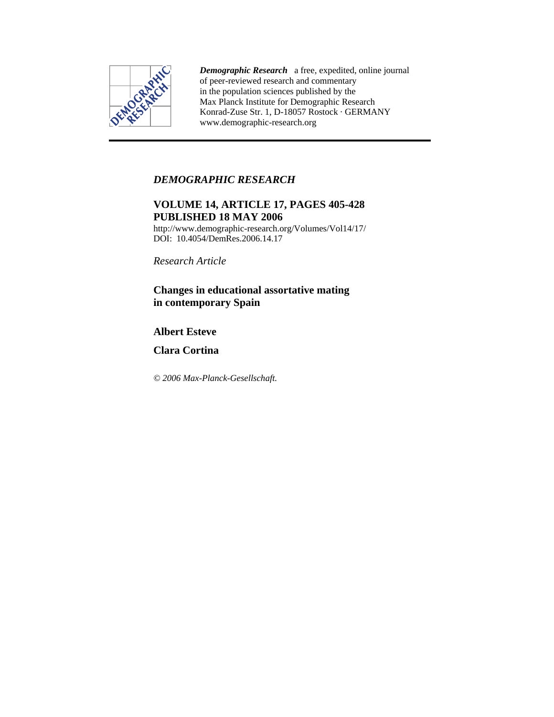

*Demographic Research* a free, expedited, online journal of peer-reviewed research and commentary in the population sciences published by the Max Planck Institute for Demographic Research Konrad-Zuse Str. 1, D-18057 Rostock · GERMANY www.demographic-research.org

# *DEMOGRAPHIC RESEARCH*

# **VOLUME 14, ARTICLE 17, PAGES 405-428 PUBLISHED 18 MAY 2006**

http://www.demographic-research.org/Volumes/Vol14/17/ DOI: 10.4054/DemRes.2006.14.17

*Research Article* 

# **Changes in educational assortative mating in contemporary Spain**

# **Albert Esteve**

**Clara Cortina** 

*© 2006 Max-Planck-Gesellschaft.*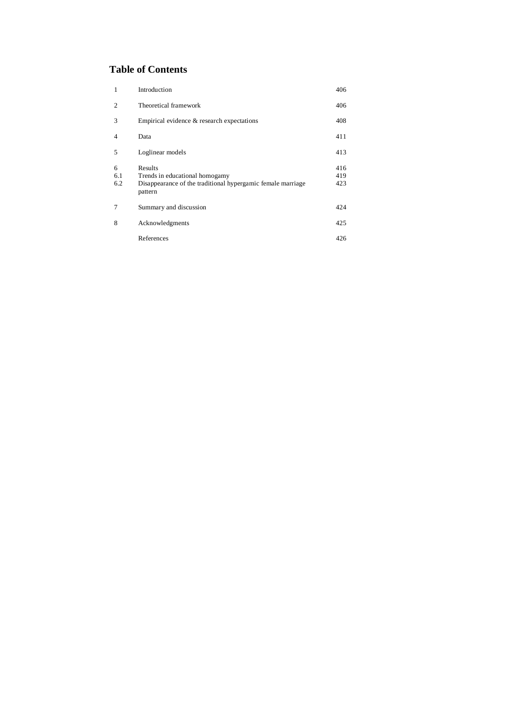# **Table of Contents**

| $\mathbf{1}$   | Introduction                                                           | 406 |
|----------------|------------------------------------------------------------------------|-----|
| 2              | Theoretical framework                                                  | 406 |
| 3              | Empirical evidence $\&$ research expectations                          | 408 |
| $\overline{4}$ | Data                                                                   | 411 |
| 5              | Loglinear models                                                       | 413 |
| 6              | Results                                                                | 416 |
| 6.1            | Trends in educational homogamy                                         | 419 |
| 6.2            | Disappearance of the traditional hypergamic female marriage<br>pattern | 423 |
| 7              | Summary and discussion                                                 | 424 |
| 8              | Acknowledgments                                                        | 425 |
|                | References                                                             | 426 |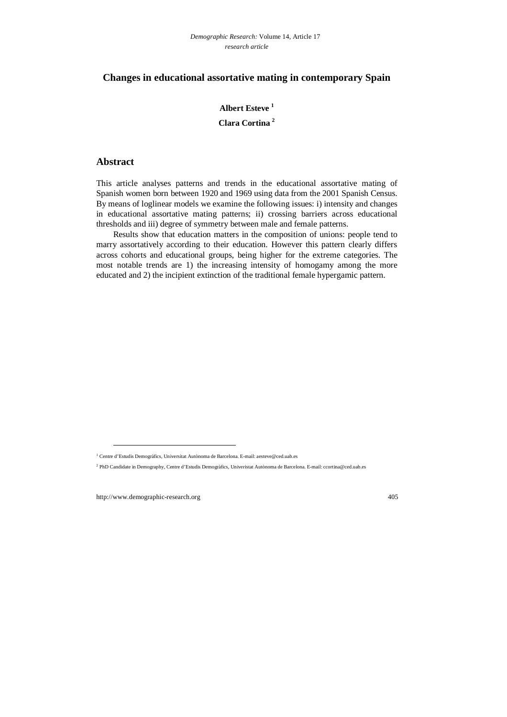# **Changes in educational assortative mating in contemporary Spain**

# **Albert Esteve 1 Clara Cortina 2**

# **Abstract**

This article analyses patterns and trends in the educational assortative mating of Spanish women born between 1920 and 1969 using data from the 2001 Spanish Census. By means of loglinear models we examine the following issues: i) intensity and changes in educational assortative mating patterns; ii) crossing barriers across educational thresholds and iii) degree of symmetry between male and female patterns.

Results show that education matters in the composition of unions: people tend to marry assortatively according to their education. However this pattern clearly differs across cohorts and educational groups, being higher for the extreme categories. The most notable trends are 1) the increasing intensity of homogamy among the more educated and 2) the incipient extinction of the traditional female hypergamic pattern.

-

<sup>1</sup> Centre d'Estudis Demogràfics, Universitat Autònoma de Barcelona. E-mail: aesteve@ced.uab.es

<sup>2</sup> PhD Candidate in Demography, Centre d'Estudis Demogràfics, Univeristat Autònoma de Barcelona. E-mail: ccortina@ced.uab.es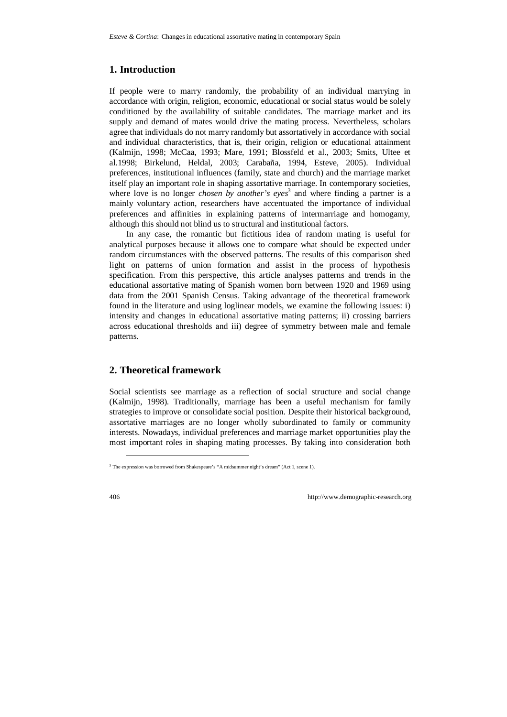# **1. Introduction**

If people were to marry randomly, the probability of an individual marrying in accordance with origin, religion, economic, educational or social status would be solely conditioned by the availability of suitable candidates. The marriage market and its supply and demand of mates would drive the mating process. Nevertheless, scholars agree that individuals do not marry randomly but assortatively in accordance with social and individual characteristics, that is, their origin, religion or educational attainment (Kalmijn, 1998; McCaa, 1993; Mare, 1991; Blossfeld et al., 2003; Smits, Ultee et al.1998; Birkelund, Heldal, 2003; Carabaña, 1994, Esteve, 2005). Individual preferences, institutional influences (family, state and church) and the marriage market itself play an important role in shaping assortative marriage. In contemporary societies, where love is no longer *chosen by another's eyes*<sup>3</sup> and where finding a partner is a mainly voluntary action, researchers have accentuated the importance of individual preferences and affinities in explaining patterns of intermarriage and homogamy, although this should not blind us to structural and institutional factors.

In any case, the romantic but fictitious idea of random mating is useful for analytical purposes because it allows one to compare what should be expected under random circumstances with the observed patterns. The results of this comparison shed light on patterns of union formation and assist in the process of hypothesis specification. From this perspective, this article analyses patterns and trends in the educational assortative mating of Spanish women born between 1920 and 1969 using data from the 2001 Spanish Census. Taking advantage of the theoretical framework found in the literature and using loglinear models, we examine the following issues: i) intensity and changes in educational assortative mating patterns; ii) crossing barriers across educational thresholds and iii) degree of symmetry between male and female patterns.

# **2. Theoretical framework**

Social scientists see marriage as a reflection of social structure and social change (Kalmijn, 1998). Traditionally, marriage has been a useful mechanism for family strategies to improve or consolidate social position. Despite their historical background, assortative marriages are no longer wholly subordinated to family or community interests. Nowadays, individual preferences and marriage market opportunities play the most important roles in shaping mating processes. By taking into consideration both

-

<sup>&</sup>lt;sup>3</sup> The expression was borrowed from Shakespeare's "A midsummer night's dream" (Act 1, scene 1).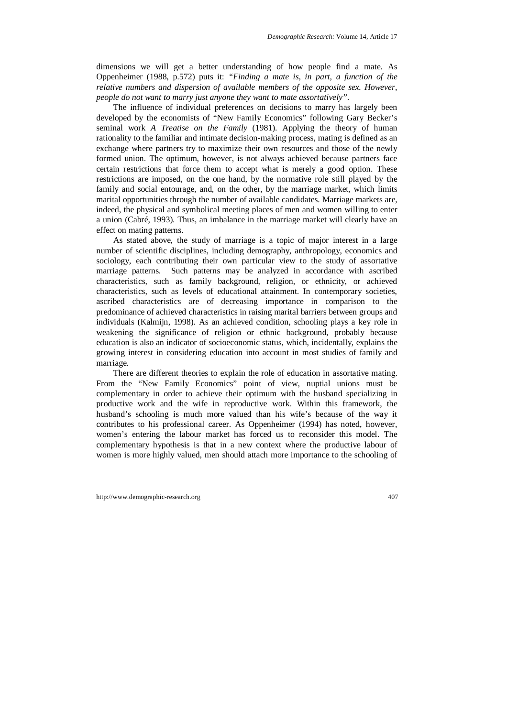dimensions we will get a better understanding of how people find a mate. As Oppenheimer (1988, p.572) puts it: *"Finding a mate is, in part, a function of the relative numbers and dispersion of available members of the opposite sex. However, people do not want to marry just anyone they want to mate assortatively"*.

The influence of individual preferences on decisions to marry has largely been developed by the economists of "New Family Economics" following Gary Becker's seminal work *A Treatise on the Family* (1981). Applying the theory of human rationality to the familiar and intimate decision-making process, mating is defined as an exchange where partners try to maximize their own resources and those of the newly formed union. The optimum, however, is not always achieved because partners face certain restrictions that force them to accept what is merely a good option. These restrictions are imposed, on the one hand, by the normative role still played by the family and social entourage, and, on the other, by the marriage market, which limits marital opportunities through the number of available candidates. Marriage markets are, indeed, the physical and symbolical meeting places of men and women willing to enter a union (Cabré, 1993). Thus, an imbalance in the marriage market will clearly have an effect on mating patterns.

As stated above, the study of marriage is a topic of major interest in a large number of scientific disciplines, including demography, anthropology, economics and sociology, each contributing their own particular view to the study of assortative marriage patterns. Such patterns may be analyzed in accordance with ascribed characteristics, such as family background, religion, or ethnicity, or achieved characteristics, such as levels of educational attainment. In contemporary societies, ascribed characteristics are of decreasing importance in comparison to the predominance of achieved characteristics in raising marital barriers between groups and individuals (Kalmijn, 1998). As an achieved condition, schooling plays a key role in weakening the significance of religion or ethnic background, probably because education is also an indicator of socioeconomic status, which, incidentally, explains the growing interest in considering education into account in most studies of family and marriage.

There are different theories to explain the role of education in assortative mating. From the "New Family Economics" point of view, nuptial unions must be complementary in order to achieve their optimum with the husband specializing in productive work and the wife in reproductive work. Within this framework, the husband's schooling is much more valued than his wife's because of the way it contributes to his professional career. As Oppenheimer (1994) has noted, however, women's entering the labour market has forced us to reconsider this model. The complementary hypothesis is that in a new context where the productive labour of women is more highly valued, men should attach more importance to the schooling of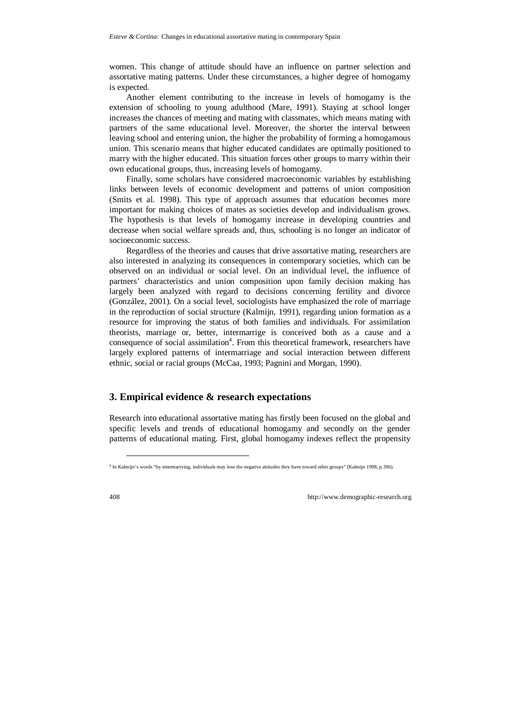women. This change of attitude should have an influence on partner selection and assortative mating patterns. Under these circumstances, a higher degree of homogamy is expected.

Another element contributing to the increase in levels of homogamy is the extension of schooling to young adulthood (Mare, 1991). Staying at school longer increases the chances of meeting and mating with classmates, which means mating with partners of the same educational level. Moreover, the shorter the interval between leaving school and entering union, the higher the probability of forming a homogamous union. This scenario means that higher educated candidates are optimally positioned to marry with the higher educated. This situation forces other groups to marry within their own educational groups, thus, increasing levels of homogamy.

Finally, some scholars have considered macroeconomic variables by establishing links between levels of economic development and patterns of union composition (Smits et al. 1998). This type of approach assumes that education becomes more important for making choices of mates as societies develop and individualism grows. The hypothesis is that levels of homogamy increase in developing countries and decrease when social welfare spreads and, thus, schooling is no longer an indicator of socioeconomic success.

Regardless of the theories and causes that drive assortative mating, researchers are also interested in analyzing its consequences in contemporary societies, which can be observed on an individual or social level. On an individual level, the influence of partners' characteristics and union composition upon family decision making has largely been analyzed with regard to decisions concerning fertility and divorce (González, 2001). On a social level, sociologists have emphasized the role of marriage in the reproduction of social structure (Kalmijn, 1991), regarding union formation as a resource for improving the status of both families and individuals. For assimilation theorists, marriage or, better, intermarrige is conceived both as a cause and a consequence of social assimilation<sup>4</sup>. From this theoretical framework, researchers have largely explored patterns of intermarriage and social interaction between different ethnic, social or racial groups (McCaa, 1993; Pagnini and Morgan, 1990).

# **3. Empirical evidence & research expectations**

Research into educational assortative mating has firstly been focused on the global and specific levels and trends of educational homogamy and secondly on the gender patterns of educational mating. First, global homogamy indexes reflect the propensity

-

<sup>4</sup> In Kalmijn's words "by intermarrying, individuals may lose the negative attitudes they have toward other groups" (Kalmijn 1998, p.396).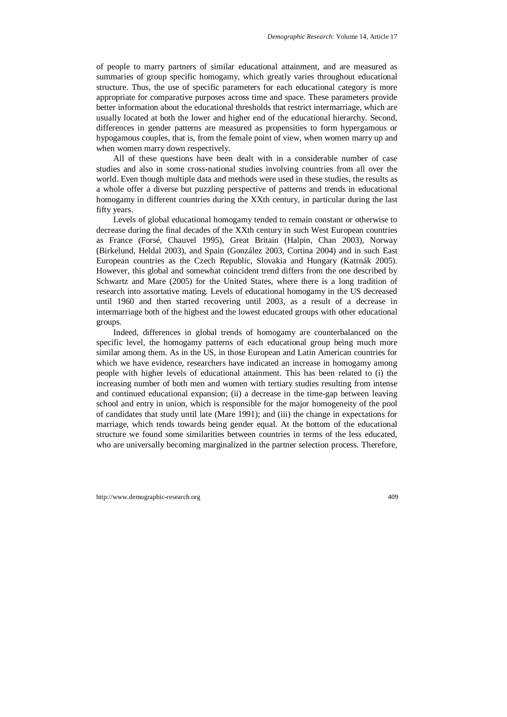of people to marry partners of similar educational attainment, and are measured as summaries of group specific homogamy, which greatly varies throughout educational structure. Thus, the use of specific parameters for each educational category is more appropriate for comparative purposes across time and space. These parameters provide better information about the educational thresholds that restrict intermarriage, which are usually located at both the lower and higher end of the educational hierarchy. Second, differences in gender patterns are measured as propensities to form hypergamous or hypogamous couples, that is, from the female point of view, when women marry up and when women marry down respectively.

All of these questions have been dealt with in a considerable number of case studies and also in some cross-national studies involving countries from all over the world. Even though multiple data and methods were used in these studies, the results as a whole offer a diverse but puzzling perspective of patterns and trends in educational homogamy in different countries during the XXth century, in particular during the last fifty years.

Levels of global educational homogamy tended to remain constant or otherwise to decrease during the final decades of the XXth century in such West European countries as France (Forsé, Chauvel 1995), Great Britain (Halpin, Chan 2003), Norway (Birkelund, Heldal 2003), and Spain (González 2003, Cortina 2004) and in such East European countries as the Czech Republic, Slovakia and Hungary (Katrnák 2005). However, this global and somewhat coincident trend differs from the one described by Schwartz and Mare (2005) for the United States, where there is a long tradition of research into assortative mating. Levels of educational homogamy in the US decreased until 1960 and then started recovering until 2003, as a result of a decrease in intermarriage both of the highest and the lowest educated groups with other educational groups.

Indeed, differences in global trends of homogamy are counterbalanced on the specific level, the homogamy patterns of each educational group being much more similar among them. As in the US, in those European and Latin American countries for which we have evidence, researchers have indicated an increase in homogamy among people with higher levels of educational attainment. This has been related to (i) the increasing number of both men and women with tertiary studies resulting from intense and continued educational expansion; (ii) a decrease in the time-gap between leaving school and entry in union, which is responsible for the major homogeneity of the pool of candidates that study until late (Mare 1991); and (iii) the change in expectations for marriage, which tends towards being gender equal. At the bottom of the educational structure we found some similarities between countries in terms of the less educated, who are universally becoming marginalized in the partner selection process. Therefore,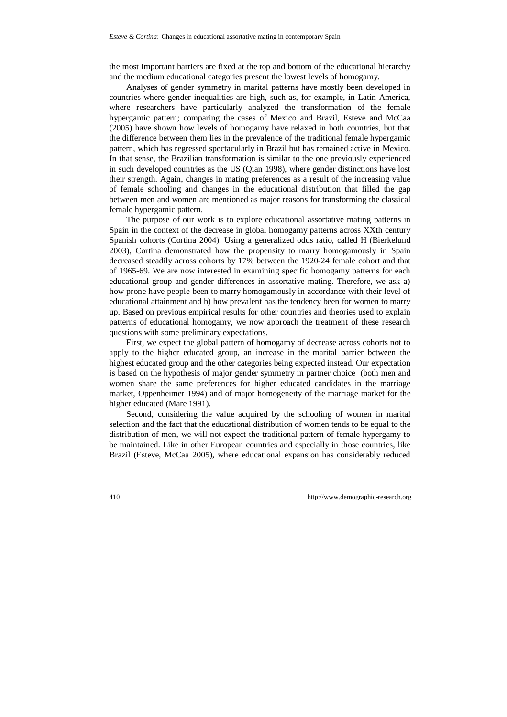the most important barriers are fixed at the top and bottom of the educational hierarchy and the medium educational categories present the lowest levels of homogamy.

Analyses of gender symmetry in marital patterns have mostly been developed in countries where gender inequalities are high, such as, for example, in Latin America, where researchers have particularly analyzed the transformation of the female hypergamic pattern; comparing the cases of Mexico and Brazil, Esteve and McCaa (2005) have shown how levels of homogamy have relaxed in both countries, but that the difference between them lies in the prevalence of the traditional female hypergamic pattern, which has regressed spectacularly in Brazil but has remained active in Mexico. In that sense, the Brazilian transformation is similar to the one previously experienced in such developed countries as the US (Qian 1998), where gender distinctions have lost their strength. Again, changes in mating preferences as a result of the increasing value of female schooling and changes in the educational distribution that filled the gap between men and women are mentioned as major reasons for transforming the classical female hypergamic pattern.

The purpose of our work is to explore educational assortative mating patterns in Spain in the context of the decrease in global homogamy patterns across XXth century Spanish cohorts (Cortina 2004). Using a generalized odds ratio, called H (Bierkelund 2003), Cortina demonstrated how the propensity to marry homogamously in Spain decreased steadily across cohorts by 17% between the 1920-24 female cohort and that of 1965-69. We are now interested in examining specific homogamy patterns for each educational group and gender differences in assortative mating. Therefore, we ask a) how prone have people been to marry homogamously in accordance with their level of educational attainment and b) how prevalent has the tendency been for women to marry up. Based on previous empirical results for other countries and theories used to explain patterns of educational homogamy, we now approach the treatment of these research questions with some preliminary expectations.

First, we expect the global pattern of homogamy of decrease across cohorts not to apply to the higher educated group, an increase in the marital barrier between the highest educated group and the other categories being expected instead. Our expectation is based on the hypothesis of major gender symmetry in partner choice (both men and women share the same preferences for higher educated candidates in the marriage market, Oppenheimer 1994) and of major homogeneity of the marriage market for the higher educated (Mare 1991).

Second, considering the value acquired by the schooling of women in marital selection and the fact that the educational distribution of women tends to be equal to the distribution of men, we will not expect the traditional pattern of female hypergamy to be maintained. Like in other European countries and especially in those countries, like Brazil (Esteve, McCaa 2005), where educational expansion has considerably reduced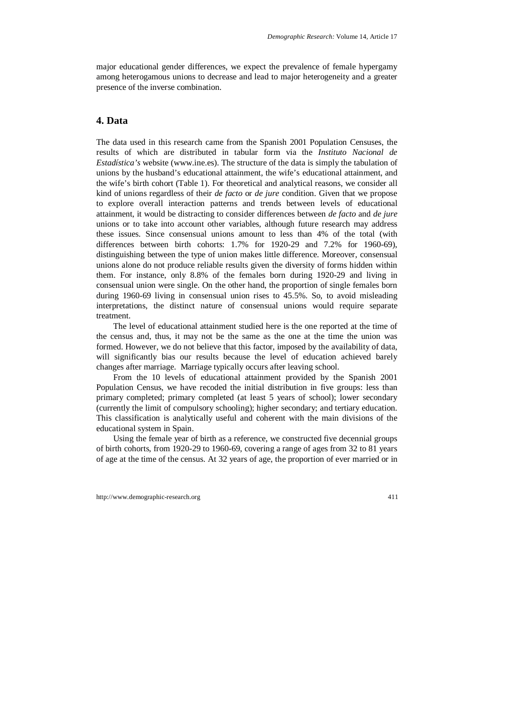major educational gender differences, we expect the prevalence of female hypergamy among heterogamous unions to decrease and lead to major heterogeneity and a greater presence of the inverse combination.

## **4. Data**

The data used in this research came from the Spanish 2001 Population Censuses, the results of which are distributed in tabular form via the *Instituto Nacional de Estadística's* website (www.ine.es). The structure of the data is simply the tabulation of unions by the husband's educational attainment, the wife's educational attainment, and the wife's birth cohort (Table 1). For theoretical and analytical reasons, we consider all kind of unions regardless of their *de facto* or *de jure* condition. Given that we propose to explore overall interaction patterns and trends between levels of educational attainment, it would be distracting to consider differences between *de facto* and *de jure* unions or to take into account other variables, although future research may address these issues. Since consensual unions amount to less than 4% of the total (with differences between birth cohorts: 1.7% for 1920-29 and 7.2% for 1960-69), distinguishing between the type of union makes little difference. Moreover, consensual unions alone do not produce reliable results given the diversity of forms hidden within them. For instance, only 8.8% of the females born during 1920-29 and living in consensual union were single. On the other hand, the proportion of single females born during 1960-69 living in consensual union rises to 45.5%. So, to avoid misleading interpretations, the distinct nature of consensual unions would require separate treatment.

The level of educational attainment studied here is the one reported at the time of the census and, thus, it may not be the same as the one at the time the union was formed. However, we do not believe that this factor, imposed by the availability of data, will significantly bias our results because the level of education achieved barely changes after marriage. Marriage typically occurs after leaving school.

From the 10 levels of educational attainment provided by the Spanish 2001 Population Census, we have recoded the initial distribution in five groups: less than primary completed; primary completed (at least 5 years of school); lower secondary (currently the limit of compulsory schooling); higher secondary; and tertiary education. This classification is analytically useful and coherent with the main divisions of the educational system in Spain.

Using the female year of birth as a reference, we constructed five decennial groups of birth cohorts, from 1920-29 to 1960-69, covering a range of ages from 32 to 81 years of age at the time of the census. At 32 years of age, the proportion of ever married or in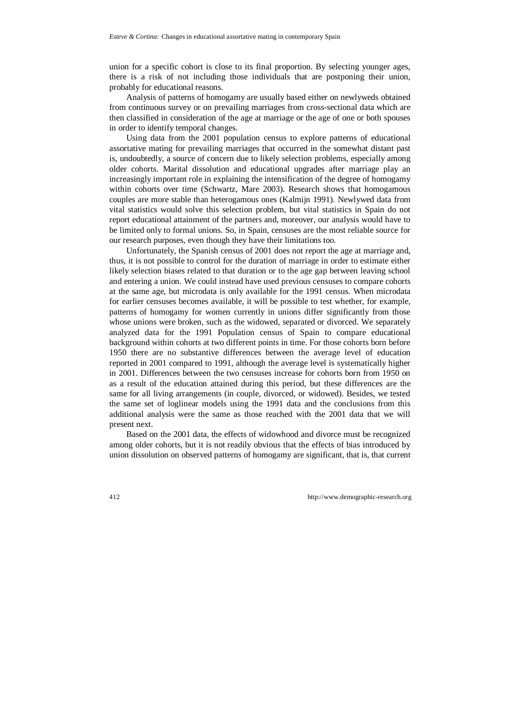union for a specific cohort is close to its final proportion. By selecting younger ages, there is a risk of not including those individuals that are postponing their union, probably for educational reasons.

Analysis of patterns of homogamy are usually based either on newlyweds obtained from continuous survey or on prevailing marriages from cross-sectional data which are then classified in consideration of the age at marriage or the age of one or both spouses in order to identify temporal changes.

Using data from the 2001 population census to explore patterns of educational assortative mating for prevailing marriages that occurred in the somewhat distant past is, undoubtedly, a source of concern due to likely selection problems, especially among older cohorts. Marital dissolution and educational upgrades after marriage play an increasingly important role in explaining the intensification of the degree of homogamy within cohorts over time (Schwartz, Mare 2003). Research shows that homogamous couples are more stable than heterogamous ones (Kalmijn 1991). Newlywed data from vital statistics would solve this selection problem, but vital statistics in Spain do not report educational attainment of the partners and, moreover, our analysis would have to be limited only to formal unions. So, in Spain, censuses are the most reliable source for our research purposes, even though they have their limitations too.

Unfortunately, the Spanish census of 2001 does not report the age at marriage and, thus, it is not possible to control for the duration of marriage in order to estimate either likely selection biases related to that duration or to the age gap between leaving school and entering a union. We could instead have used previous censuses to compare cohorts at the same age, but microdata is only available for the 1991 census. When microdata for earlier censuses becomes available, it will be possible to test whether, for example, patterns of homogamy for women currently in unions differ significantly from those whose unions were broken, such as the widowed, separated or divorced. We separately analyzed data for the 1991 Population census of Spain to compare educational background within cohorts at two different points in time. For those cohorts born before 1950 there are no substantive differences between the average level of education reported in 2001 compared to 1991, although the average level is systematically higher in 2001. Differences between the two censuses increase for cohorts born from 1950 on as a result of the education attained during this period, but these differences are the same for all living arrangements (in couple, divorced, or widowed). Besides, we tested the same set of loglinear models using the 1991 data and the conclusions from this additional analysis were the same as those reached with the 2001 data that we will present next.

Based on the 2001 data, the effects of widowhood and divorce must be recognized among older cohorts, but it is not readily obvious that the effects of bias introduced by union dissolution on observed patterns of homogamy are significant, that is, that current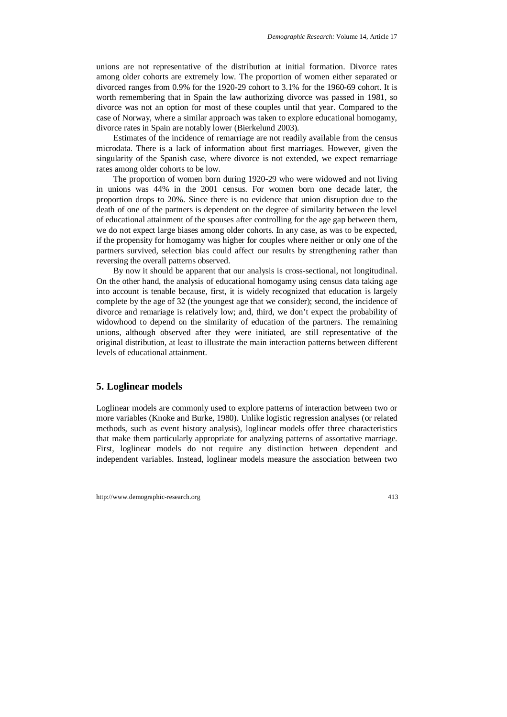unions are not representative of the distribution at initial formation. Divorce rates among older cohorts are extremely low. The proportion of women either separated or divorced ranges from 0.9% for the 1920-29 cohort to 3.1% for the 1960-69 cohort. It is worth remembering that in Spain the law authorizing divorce was passed in 1981, so divorce was not an option for most of these couples until that year. Compared to the case of Norway, where a similar approach was taken to explore educational homogamy, divorce rates in Spain are notably lower (Bierkelund 2003).

Estimates of the incidence of remarriage are not readily available from the census microdata. There is a lack of information about first marriages. However, given the singularity of the Spanish case, where divorce is not extended, we expect remarriage rates among older cohorts to be low.

The proportion of women born during 1920-29 who were widowed and not living in unions was 44% in the 2001 census. For women born one decade later, the proportion drops to 20%. Since there is no evidence that union disruption due to the death of one of the partners is dependent on the degree of similarity between the level of educational attainment of the spouses after controlling for the age gap between them, we do not expect large biases among older cohorts. In any case, as was to be expected, if the propensity for homogamy was higher for couples where neither or only one of the partners survived, selection bias could affect our results by strengthening rather than reversing the overall patterns observed.

By now it should be apparent that our analysis is cross-sectional, not longitudinal. On the other hand, the analysis of educational homogamy using census data taking age into account is tenable because, first, it is widely recognized that education is largely complete by the age of 32 (the youngest age that we consider); second, the incidence of divorce and remariage is relatively low; and, third, we don't expect the probability of widowhood to depend on the similarity of education of the partners. The remaining unions, although observed after they were initiated, are still representative of the original distribution, at least to illustrate the main interaction patterns between different levels of educational attainment.

# **5. Loglinear models**

Loglinear models are commonly used to explore patterns of interaction between two or more variables (Knoke and Burke, 1980). Unlike logistic regression analyses (or related methods, such as event history analysis), loglinear models offer three characteristics that make them particularly appropriate for analyzing patterns of assortative marriage. First, loglinear models do not require any distinction between dependent and independent variables. Instead, loglinear models measure the association between two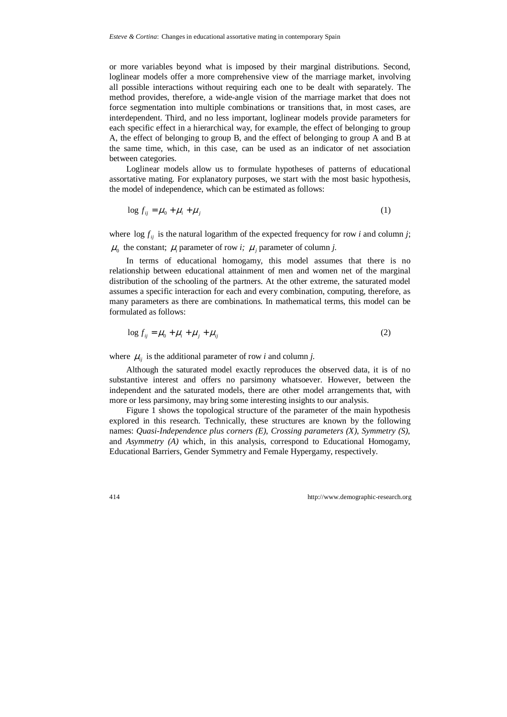or more variables beyond what is imposed by their marginal distributions. Second, loglinear models offer a more comprehensive view of the marriage market, involving all possible interactions without requiring each one to be dealt with separately. The method provides, therefore, a wide-angle vision of the marriage market that does not force segmentation into multiple combinations or transitions that, in most cases, are interdependent. Third, and no less important, loglinear models provide parameters for each specific effect in a hierarchical way, for example, the effect of belonging to group A, the effect of belonging to group B, and the effect of belonging to group A and B at the same time, which, in this case, can be used as an indicator of net association between categories.

Loglinear models allow us to formulate hypotheses of patterns of educational assortative mating. For explanatory purposes, we start with the most basic hypothesis, the model of independence, which can be estimated as follows:

$$
\log f_{ij} = \mu_0 + \mu_i + \mu_j \tag{1}
$$

where  $\log f_{ij}$  is the natural logarithm of the expected frequency for row *i* and column *j*;  $\mu_0$  the constant;  $\mu_i$  parameter of row *i*;  $\mu_j$  parameter of column *j*.

In terms of educational homogamy, this model assumes that there is no relationship between educational attainment of men and women net of the marginal distribution of the schooling of the partners. At the other extreme, the saturated model assumes a specific interaction for each and every combination, computing, therefore, as many parameters as there are combinations. In mathematical terms, this model can be formulated as follows:

$$
\log f_{ij} = \mu_0 + \mu_i + \mu_j + \mu_{ij} \tag{2}
$$

where  $\mu_{ij}$  is the additional parameter of row *i* and column *j*.

Although the saturated model exactly reproduces the observed data, it is of no substantive interest and offers no parsimony whatsoever. However, between the independent and the saturated models, there are other model arrangements that, with more or less parsimony, may bring some interesting insights to our analysis.

Figure 1 shows the topological structure of the parameter of the main hypothesis explored in this research. Technically, these structures are known by the following names: *Quasi-Independence plus corners (E)*, *Crossing parameters (X)*, *Symmetry (S)*, and *Asymmetry (A)* which, in this analysis, correspond to Educational Homogamy, Educational Barriers, Gender Symmetry and Female Hypergamy, respectively.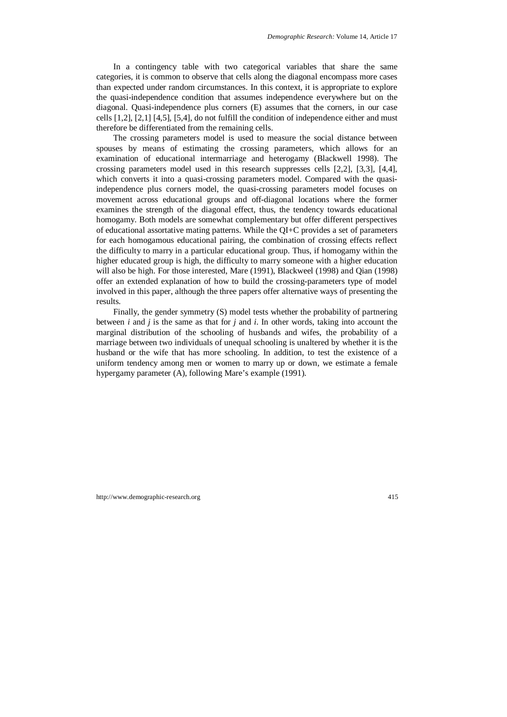In a contingency table with two categorical variables that share the same categories, it is common to observe that cells along the diagonal encompass more cases than expected under random circumstances. In this context, it is appropriate to explore the quasi-independence condition that assumes independence everywhere but on the diagonal. Quasi-independence plus corners (E) assumes that the corners, in our case cells [1,2], [2,1] [4,5], [5,4], do not fulfill the condition of independence either and must therefore be differentiated from the remaining cells.

The crossing parameters model is used to measure the social distance between spouses by means of estimating the crossing parameters, which allows for an examination of educational intermarriage and heterogamy (Blackwell 1998). The crossing parameters model used in this research suppresses cells [2,2], [3,3], [4,4], which converts it into a quasi-crossing parameters model. Compared with the quasiindependence plus corners model, the quasi-crossing parameters model focuses on movement across educational groups and off-diagonal locations where the former examines the strength of the diagonal effect, thus, the tendency towards educational homogamy. Both models are somewhat complementary but offer different perspectives of educational assortative mating patterns. While the QI+C provides a set of parameters for each homogamous educational pairing, the combination of crossing effects reflect the difficulty to marry in a particular educational group. Thus, if homogamy within the higher educated group is high, the difficulty to marry someone with a higher education will also be high. For those interested, Mare (1991), Blackweel (1998) and Qian (1998) offer an extended explanation of how to build the crossing-parameters type of model involved in this paper, although the three papers offer alternative ways of presenting the results.

Finally, the gender symmetry (S) model tests whether the probability of partnering between *i* and *j* is the same as that for *j* and *i*. In other words, taking into account the marginal distribution of the schooling of husbands and wifes, the probability of a marriage between two individuals of unequal schooling is unaltered by whether it is the husband or the wife that has more schooling. In addition, to test the existence of a uniform tendency among men or women to marry up or down, we estimate a female hypergamy parameter (A), following Mare's example (1991).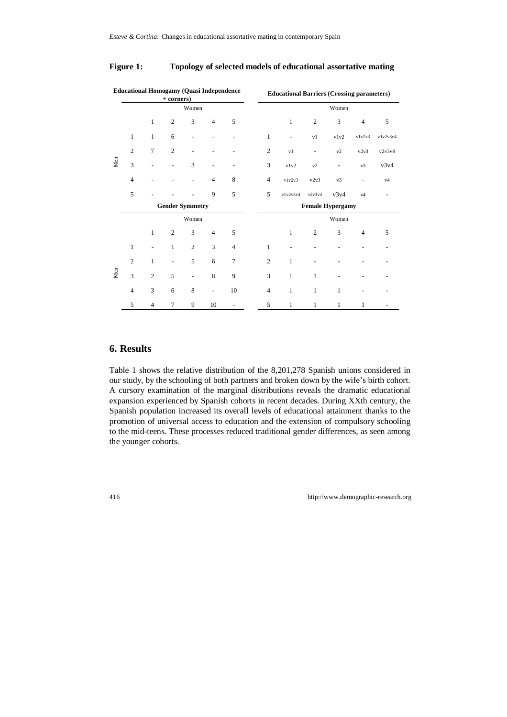#### **Figure 1: Topology of selected models of educational assortative mating**

| <b>Educational Homogamy (Quasi Independence</b><br>+ corners) |                        |                          |                |                          |                   | <b>Educational Barriers (Crossing parameters)</b> |                |                          |                          |                              |                |          |
|---------------------------------------------------------------|------------------------|--------------------------|----------------|--------------------------|-------------------|---------------------------------------------------|----------------|--------------------------|--------------------------|------------------------------|----------------|----------|
|                                                               | Women                  |                          |                |                          |                   | Women                                             |                |                          |                          |                              |                |          |
|                                                               |                        | $\mathbf{1}$             | $\mathfrak{2}$ | 3                        | $\overline{4}$    | 5                                                 |                | $\mathbf{1}$             | $\mathfrak{2}$           | 3                            | $\overline{4}$ | 5        |
| Men                                                           | $\mathbf{1}$           | $\mathbf{1}$             | 6              | $\overline{\phantom{a}}$ |                   |                                                   | $\mathbf{1}$   | $\overline{\phantom{a}}$ | v1                       | v1v2                         | v1v2v3         | v1v2v3v4 |
|                                                               | $\overline{2}$         | $\overline{7}$           | $\overline{c}$ |                          |                   |                                                   | $\mathfrak{2}$ | v1                       | $\overline{\phantom{m}}$ | v2                           | v2v3           | v2v3v4   |
|                                                               | 3                      |                          |                | 3                        |                   |                                                   | 3              | v1v2                     | v2                       | $\qquad \qquad \blacksquare$ | v3             | v3v4     |
|                                                               | $\overline{4}$         |                          |                |                          | $\overline{4}$    | 8                                                 | $\overline{4}$ | v1v2v3                   | v2v3                     | v3                           | $\overline{a}$ | v4       |
|                                                               | 5                      |                          |                |                          | 9                 | 5                                                 | 5              | v1v2v3v4                 | v2v3v4                   | v3v4                         | v4             |          |
|                                                               | <b>Gender Symmetry</b> |                          |                |                          |                   | <b>Female Hypergamy</b>                           |                |                          |                          |                              |                |          |
|                                                               | Women                  |                          |                |                          |                   |                                                   | Women          |                          |                          |                              |                |          |
|                                                               |                        | $\mathbf{1}$             | $\overline{c}$ | 3                        | $\overline{4}$    | 5                                                 |                | $\mathbf{1}$             | $\overline{c}$           | 3                            | $\overline{4}$ | 5        |
| Men                                                           | $\mathbf{1}$           | $\overline{\phantom{a}}$ | $\mathbf{1}$   | $\overline{c}$           | 3                 | $\overline{4}$                                    | $\mathbf{1}$   |                          |                          |                              |                |          |
|                                                               | $\overline{2}$         | $\mathbf{1}$             | $\overline{a}$ | 5                        | 6                 | $\overline{7}$                                    | $\overline{2}$ | 1                        |                          |                              |                |          |
|                                                               | 3                      | $\overline{2}$           | 5              | $\overline{\phantom{a}}$ | 8                 | 9                                                 | 3              | $\mathbf{1}$             | $\mathbf{1}$             |                              |                |          |
|                                                               | 4                      | 3                        | 6              | 8                        | $\qquad \qquad -$ | $10\,$                                            | $\overline{4}$ | 1                        | $\mathbf{1}$             | 1                            |                |          |
|                                                               | 5                      | $\overline{4}$           | $\overline{7}$ | 9                        | 10                |                                                   | 5              | 1                        | 1                        | 1                            | 1              |          |

# **6. Results**

Table 1 shows the relative distribution of the 8,201,278 Spanish unions considered in our study, by the schooling of both partners and broken down by the wife's birth cohort. A cursory examination of the marginal distributions reveals the dramatic educational expansion experienced by Spanish cohorts in recent decades. During XXth century, the Spanish population increased its overall levels of educational attainment thanks to the promotion of universal access to education and the extension of compulsory schooling to the mid-teens. These processes reduced traditional gender differences, as seen among the younger cohorts.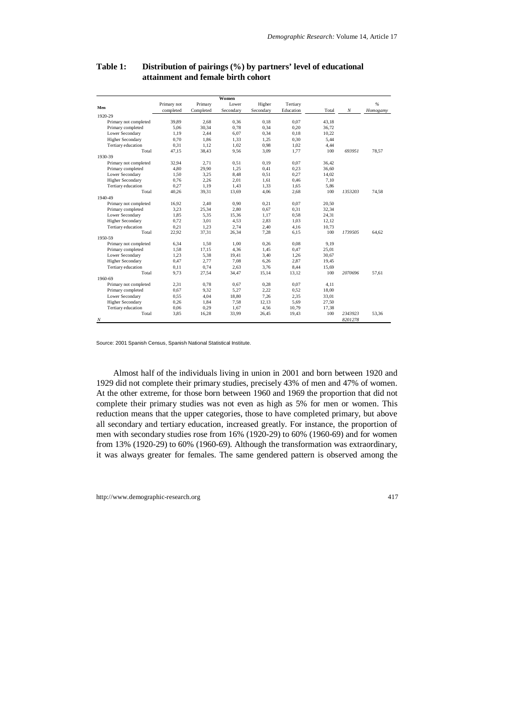| Women                   |             |           |           |           |           |       |                  |          |
|-------------------------|-------------|-----------|-----------|-----------|-----------|-------|------------------|----------|
| Men                     | Primary not | Primary   | Lower     | Higher    | Tertiary  |       |                  | %        |
|                         | completed   | Completed | Secondary | Secondary | Education | Total | $\boldsymbol{N}$ | Homogamy |
| 1920-29                 |             |           |           |           |           |       |                  |          |
| Primary not completed   | 39,89       | 2.68      | 0.36      | 0.18      | 0.07      | 43,18 |                  |          |
| Primary completed       | 5,06        | 30.34     | 0,78      | 0,34      | 0.20      | 36,72 |                  |          |
| Lower Secondary         | 1,19        | 2,44      | 6,07      | 0,34      | 0,18      | 10,22 |                  |          |
| <b>Higher Secondary</b> | 0,70        | 1,86      | 1,33      | 1,25      | 0,30      | 5,44  |                  |          |
| Tertiary education      | 0,31        | 1,12      | 1,02      | 0,98      | 1,02      | 4,44  |                  |          |
| Total                   | 47,15       | 38,43     | 9,56      | 3,09      | 1,77      | 100   | 693951           | 78,57    |
| 1930-39                 |             |           |           |           |           |       |                  |          |
| Primary not completed   | 32,94       | 2.71      | 0,51      | 0,19      | 0,07      | 36,42 |                  |          |
| Primary completed       | 4,80        | 29,90     | 1,25      | 0,41      | 0,23      | 36,60 |                  |          |
| Lower Secondary         | 1,50        | 3,25      | 8,48      | 0,51      | 0,27      | 14,02 |                  |          |
| <b>Higher Secondary</b> | 0.76        | 2.26      | 2.01      | 1,61      | 0.46      | 7,10  |                  |          |
| Tertiary education      | 0,27        | 1.19      | 1,43      | 1,33      | 1,65      | 5,86  |                  |          |
| Total                   | 40,26       | 39,31     | 13,69     | 4,06      | 2,68      | 100   | 1353203          | 74.58    |
| 1940-49                 |             |           |           |           |           |       |                  |          |
| Primary not completed   | 16,92       | 2,40      | 0,90      | 0,21      | 0,07      | 20,50 |                  |          |
| Primary completed       | 3,23        | 25,34     | 2,80      | 0,67      | 0,31      | 32,34 |                  |          |
| Lower Secondary         | 1,85        | 5,35      | 15,36     | 1,17      | 0,58      | 24,31 |                  |          |
| <b>Higher Secondary</b> | 0.72        | 3.01      | 4,53      | 2,83      | 1.03      | 12,12 |                  |          |
| Tertiary education      | 0,21        | 1,23      | 2,74      | 2,40      | 4,16      | 10,73 |                  |          |
| Total                   | 22,92       | 37,31     | 26,34     | 7,28      | 6,15      | 100   | 1739505          | 64,62    |
| 1950-59                 |             |           |           |           |           |       |                  |          |
| Primary not completed   | 6,34        | 1,50      | 1,00      | 0,26      | 0.08      | 9,19  |                  |          |
| Primary completed       | 1,58        | 17,15     | 4,36      | 1,45      | 0,47      | 25,01 |                  |          |
| Lower Secondary         | 1,23        | 5,38      | 19,41     | 3,40      | 1,26      | 30,67 |                  |          |
| <b>Higher Secondary</b> | 0,47        | 2,77      | 7,08      | 6,26      | 2,87      | 19,45 |                  |          |
| Tertiary education      | 0.11        | 0.74      | 2,63      | 3,76      | 8,44      | 15,69 |                  |          |
| Total                   | 9,73        | 27,54     | 34,47     | 15,14     | 13,12     | 100   | 2070696          | 57,61    |
| 1960-69                 |             |           |           |           |           |       |                  |          |
| Primary not completed   | 2.31        | 0.78      | 0.67      | 0,28      | 0.07      | 4,11  |                  |          |
| Primary completed       | 0,67        | 9,32      | 5,27      | 2,22      | 0.52      | 18,00 |                  |          |
| Lower Secondary         | 0,55        | 4,04      | 18,80     | 7,26      | 2,35      | 33,01 |                  |          |
| <b>Higher Secondary</b> | 0,26        | 1,84      | 7,58      | 12,13     | 5,69      | 27,50 |                  |          |
| Tertiary education      | 0,06        | 0,29      | 1,67      | 4,56      | 10,79     | 17,38 |                  |          |
| Total                   | 3,85        | 16,28     | 33,99     | 26,45     | 19,43     | 100   | 2343923          | 53.36    |
| $\boldsymbol{N}$        |             |           |           |           |           |       | 8201278          |          |

### **Table 1: Distribution of pairings (%) by partners' level of educational attainment and female birth cohort**

Source: 2001 Spanish Census, Spanish National Statistical Institute.

Almost half of the individuals living in union in 2001 and born between 1920 and 1929 did not complete their primary studies, precisely 43% of men and 47% of women. At the other extreme, for those born between 1960 and 1969 the proportion that did not complete their primary studies was not even as high as 5% for men or women. This reduction means that the upper categories, those to have completed primary, but above all secondary and tertiary education, increased greatly. For instance, the proportion of men with secondary studies rose from 16% (1920-29) to 60% (1960-69) and for women from 13% (1920-29) to 60% (1960-69). Although the transformation was extraordinary, it was always greater for females. The same gendered pattern is observed among the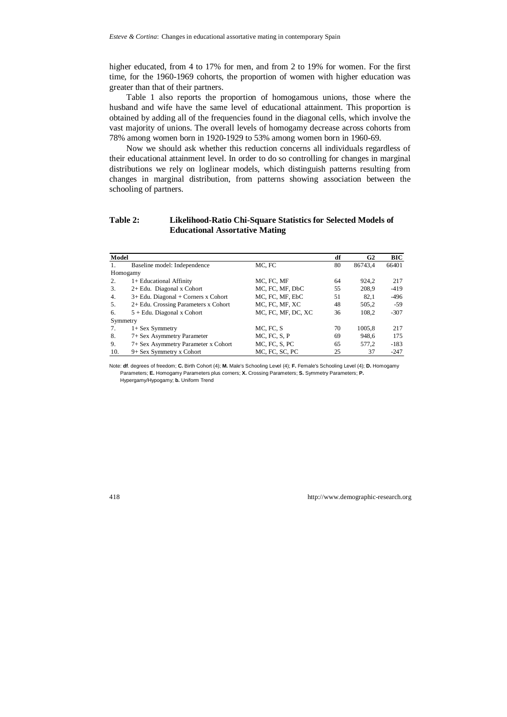higher educated, from 4 to 17% for men, and from 2 to 19% for women. For the first time, for the 1960-1969 cohorts, the proportion of women with higher education was greater than that of their partners.

Table 1 also reports the proportion of homogamous unions, those where the husband and wife have the same level of educational attainment. This proportion is obtained by adding all of the frequencies found in the diagonal cells, which involve the vast majority of unions. The overall levels of homogamy decrease across cohorts from 78% among women born in 1920-1929 to 53% among women born in 1960-69.

Now we should ask whether this reduction concerns all individuals regardless of their educational attainment level. In order to do so controlling for changes in marginal distributions we rely on loglinear models, which distinguish patterns resulting from changes in marginal distribution, from patterns showing association between the schooling of partners.

### **Table 2: Likelihood-Ratio Chi-Square Statistics for Selected Models of Educational Assortative Mating**

| Model    |                                      |                         | df | G2      | <b>BIC</b> |
|----------|--------------------------------------|-------------------------|----|---------|------------|
| 1.       | Baseline model: Independence         | MC, FC                  | 80 | 86743.4 | 66401      |
|          | Homogamy                             |                         |    |         |            |
| 2.       | 1+ Educational Affinity              | MC, FC, MF              | 64 | 924,2   | 217        |
| 3.       | 2+ Edu. Diagonal x Cohort            | MC, FC, MF, DbC         | 55 | 208.9   | $-419$     |
| 4.       | 3+ Edu. Diagonal + Corners x Cohort  | MC, FC, MF, EbC         | 51 | 82.1    | $-496$     |
| 5.       | 2+ Edu. Crossing Parameters x Cohort | MC, FC, MF, XC          | 48 | 505.2   | $-59$      |
| 6.       | $5 +$ Edu. Diagonal x Cohort         | MC, FC, MF, DC, XC      | 36 | 108.2   | $-307$     |
| Symmetry |                                      |                         |    |         |            |
| 7.       | $1+$ Sex Symmetry                    | MC, FC, S               | 70 | 1005,8  | 217        |
| 8.       | 7+ Sex Asymmetry Parameter           | $MC$ , $FC$ , $S$ , $P$ | 69 | 948.6   | 175        |
| 9.       | 7+ Sex Asymmetry Parameter x Cohort  | MC, FC, S, PC           | 65 | 577.2   | $-183$     |
| 10.      | 9+ Sex Symmetry x Cohort             | MC, FC, SC, PC          | 25 | 37      | $-247$     |

Note: **df**. degrees of freedom; **C.** Birth Cohort (4); **M.** Male's Schooling Level (4); **F.** Female's Schooling Level (4); **D.** Homogamy Parameters; **E.** Homogamy Parameters plus corners; **X.** Crossing Parameters; **S.** Symmetry Parameters; **P.** Hypergamy/Hypogamy; **b.** Uniform Trend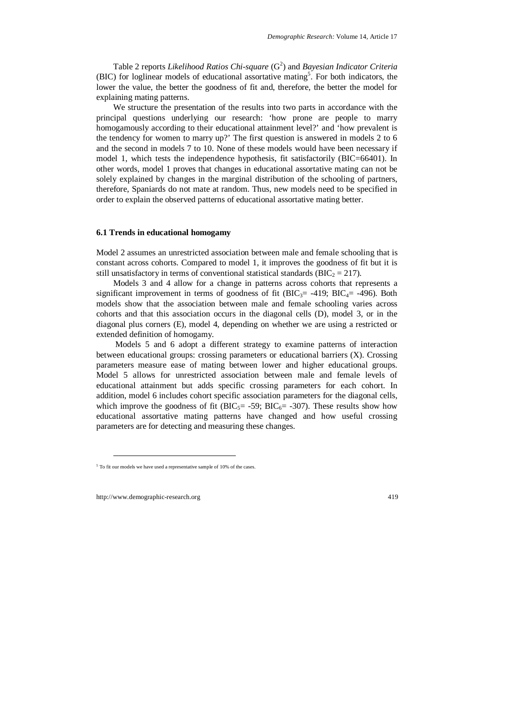Table 2 reports *Likelihood Ratios Chi-square* (G<sup>2</sup>) and *Bayesian Indicator Criteria* (BIC) for loglinear models of educational assortative mating<sup>5</sup>. For both indicators, the lower the value, the better the goodness of fit and, therefore, the better the model for explaining mating patterns.

We structure the presentation of the results into two parts in accordance with the principal questions underlying our research: 'how prone are people to marry homogamously according to their educational attainment level?' and 'how prevalent is the tendency for women to marry up?' The first question is answered in models 2 to 6 and the second in models 7 to 10. None of these models would have been necessary if model 1, which tests the independence hypothesis, fit satisfactorily (BIC=66401). In other words, model 1 proves that changes in educational assortative mating can not be solely explained by changes in the marginal distribution of the schooling of partners, therefore, Spaniards do not mate at random. Thus, new models need to be specified in order to explain the observed patterns of educational assortative mating better.

#### **6.1 Trends in educational homogamy**

Model 2 assumes an unrestricted association between male and female schooling that is constant across cohorts. Compared to model 1, it improves the goodness of fit but it is still unsatisfactory in terms of conventional statistical standards ( $BIC<sub>2</sub> = 217$ ).

Models 3 and 4 allow for a change in patterns across cohorts that represents a significant improvement in terms of goodness of fit ( $BIC<sub>3</sub>= -419$ ;  $BIC<sub>4</sub>= -496$ ). Both models show that the association between male and female schooling varies across cohorts and that this association occurs in the diagonal cells (D), model 3, or in the diagonal plus corners (E), model 4, depending on whether we are using a restricted or extended definition of homogamy.

 Models 5 and 6 adopt a different strategy to examine patterns of interaction between educational groups: crossing parameters or educational barriers (X). Crossing parameters measure ease of mating between lower and higher educational groups. Model 5 allows for unrestricted association between male and female levels of educational attainment but adds specific crossing parameters for each cohort. In addition, model 6 includes cohort specific association parameters for the diagonal cells, which improve the goodness of fit (BIC<sub>5</sub>= -59; BIC<sub>6</sub>= -307). These results show how educational assortative mating patterns have changed and how useful crossing parameters are for detecting and measuring these changes.

-

<sup>&</sup>lt;sup>5</sup> To fit our models we have used a representative sample of 10% of the cases.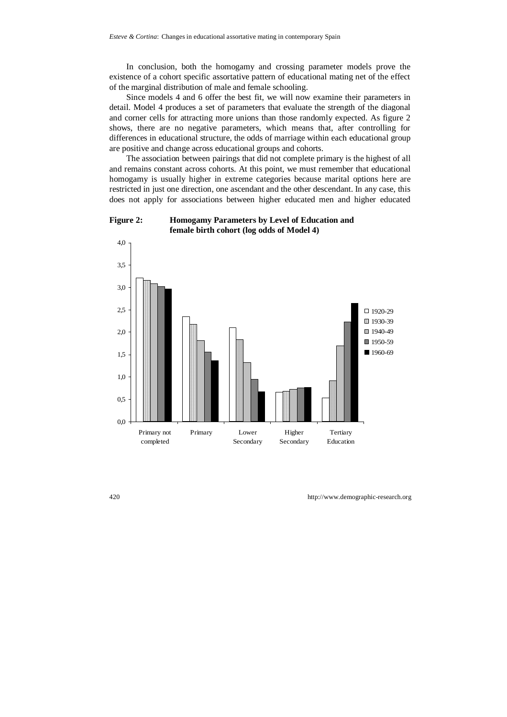In conclusion, both the homogamy and crossing parameter models prove the existence of a cohort specific assortative pattern of educational mating net of the effect of the marginal distribution of male and female schooling.

Since models 4 and 6 offer the best fit, we will now examine their parameters in detail. Model 4 produces a set of parameters that evaluate the strength of the diagonal and corner cells for attracting more unions than those randomly expected. As figure 2 shows, there are no negative parameters, which means that, after controlling for differences in educational structure, the odds of marriage within each educational group are positive and change across educational groups and cohorts.

The association between pairings that did not complete primary is the highest of all and remains constant across cohorts. At this point, we must remember that educational homogamy is usually higher in extreme categories because marital options here are restricted in just one direction, one ascendant and the other descendant. In any case, this does not apply for associations between higher educated men and higher educated



## **Figure 2: Homogamy Parameters by Level of Education and female birth cohort (log odds of Model 4)**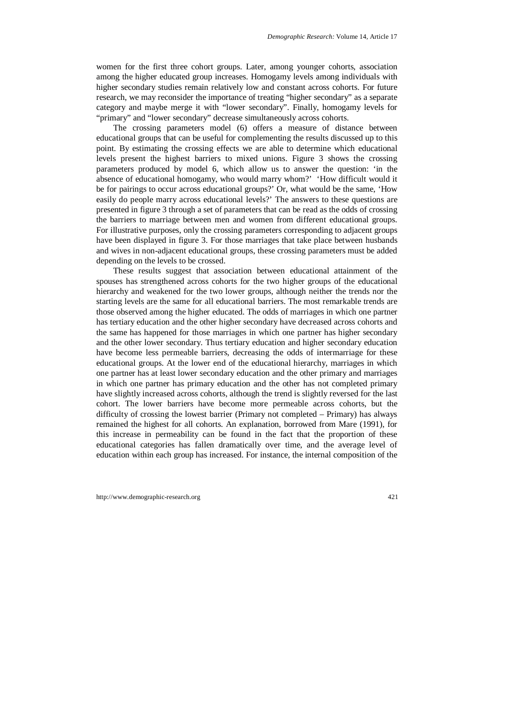women for the first three cohort groups. Later, among younger cohorts, association among the higher educated group increases. Homogamy levels among individuals with higher secondary studies remain relatively low and constant across cohorts. For future research, we may reconsider the importance of treating "higher secondary" as a separate category and maybe merge it with "lower secondary". Finally, homogamy levels for "primary" and "lower secondary" decrease simultaneously across cohorts.

The crossing parameters model (6) offers a measure of distance between educational groups that can be useful for complementing the results discussed up to this point. By estimating the crossing effects we are able to determine which educational levels present the highest barriers to mixed unions. Figure 3 shows the crossing parameters produced by model 6, which allow us to answer the question: 'in the absence of educational homogamy, who would marry whom?' 'How difficult would it be for pairings to occur across educational groups?' Or, what would be the same, 'How easily do people marry across educational levels?' The answers to these questions are presented in figure 3 through a set of parameters that can be read as the odds of crossing the barriers to marriage between men and women from different educational groups. For illustrative purposes, only the crossing parameters corresponding to adjacent groups have been displayed in figure 3. For those marriages that take place between husbands and wives in non-adjacent educational groups, these crossing parameters must be added depending on the levels to be crossed.

These results suggest that association between educational attainment of the spouses has strengthened across cohorts for the two higher groups of the educational hierarchy and weakened for the two lower groups, although neither the trends nor the starting levels are the same for all educational barriers. The most remarkable trends are those observed among the higher educated. The odds of marriages in which one partner has tertiary education and the other higher secondary have decreased across cohorts and the same has happened for those marriages in which one partner has higher secondary and the other lower secondary. Thus tertiary education and higher secondary education have become less permeable barriers, decreasing the odds of intermarriage for these educational groups. At the lower end of the educational hierarchy, marriages in which one partner has at least lower secondary education and the other primary and marriages in which one partner has primary education and the other has not completed primary have slightly increased across cohorts, although the trend is slightly reversed for the last cohort. The lower barriers have become more permeable across cohorts, but the difficulty of crossing the lowest barrier (Primary not completed – Primary) has always remained the highest for all cohorts. An explanation, borrowed from Mare (1991), for this increase in permeability can be found in the fact that the proportion of these educational categories has fallen dramatically over time, and the average level of education within each group has increased. For instance, the internal composition of the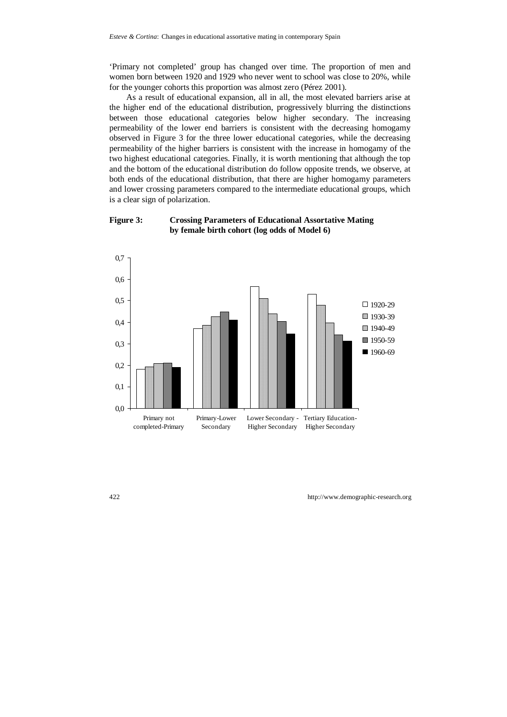'Primary not completed' group has changed over time. The proportion of men and women born between 1920 and 1929 who never went to school was close to 20%, while for the younger cohorts this proportion was almost zero (Pérez 2001).

As a result of educational expansion, all in all, the most elevated barriers arise at the higher end of the educational distribution, progressively blurring the distinctions between those educational categories below higher secondary. The increasing permeability of the lower end barriers is consistent with the decreasing homogamy observed in Figure 3 for the three lower educational categories, while the decreasing permeability of the higher barriers is consistent with the increase in homogamy of the two highest educational categories. Finally, it is worth mentioning that although the top and the bottom of the educational distribution do follow opposite trends, we observe, at both ends of the educational distribution, that there are higher homogamy parameters and lower crossing parameters compared to the intermediate educational groups, which is a clear sign of polarization.

### **Figure 3: Crossing Parameters of Educational Assortative Mating by female birth cohort (log odds of Model 6)**

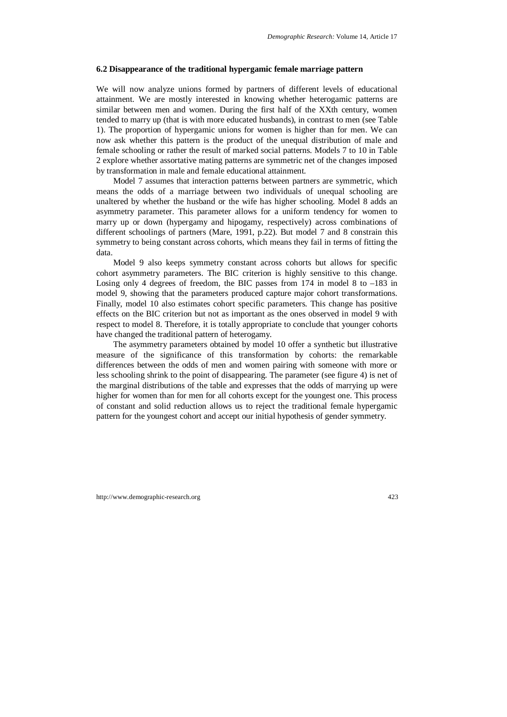#### **6.2 Disappearance of the traditional hypergamic female marriage pattern**

We will now analyze unions formed by partners of different levels of educational attainment. We are mostly interested in knowing whether heterogamic patterns are similar between men and women. During the first half of the XXth century, women tended to marry up (that is with more educated husbands), in contrast to men (see Table 1). The proportion of hypergamic unions for women is higher than for men. We can now ask whether this pattern is the product of the unequal distribution of male and female schooling or rather the result of marked social patterns. Models 7 to 10 in Table 2 explore whether assortative mating patterns are symmetric net of the changes imposed by transformation in male and female educational attainment.

Model 7 assumes that interaction patterns between partners are symmetric, which means the odds of a marriage between two individuals of unequal schooling are unaltered by whether the husband or the wife has higher schooling. Model 8 adds an asymmetry parameter. This parameter allows for a uniform tendency for women to marry up or down (hypergamy and hipogamy, respectively) across combinations of different schoolings of partners (Mare, 1991, p.22). But model 7 and 8 constrain this symmetry to being constant across cohorts, which means they fail in terms of fitting the data.

Model 9 also keeps symmetry constant across cohorts but allows for specific cohort asymmetry parameters. The BIC criterion is highly sensitive to this change. Losing only 4 degrees of freedom, the BIC passes from  $174$  in model 8 to  $-183$  in model 9, showing that the parameters produced capture major cohort transformations. Finally, model 10 also estimates cohort specific parameters. This change has positive effects on the BIC criterion but not as important as the ones observed in model 9 with respect to model 8. Therefore, it is totally appropriate to conclude that younger cohorts have changed the traditional pattern of heterogamy.

The asymmetry parameters obtained by model 10 offer a synthetic but illustrative measure of the significance of this transformation by cohorts: the remarkable differences between the odds of men and women pairing with someone with more or less schooling shrink to the point of disappearing. The parameter (see figure 4) is net of the marginal distributions of the table and expresses that the odds of marrying up were higher for women than for men for all cohorts except for the youngest one. This process of constant and solid reduction allows us to reject the traditional female hypergamic pattern for the youngest cohort and accept our initial hypothesis of gender symmetry.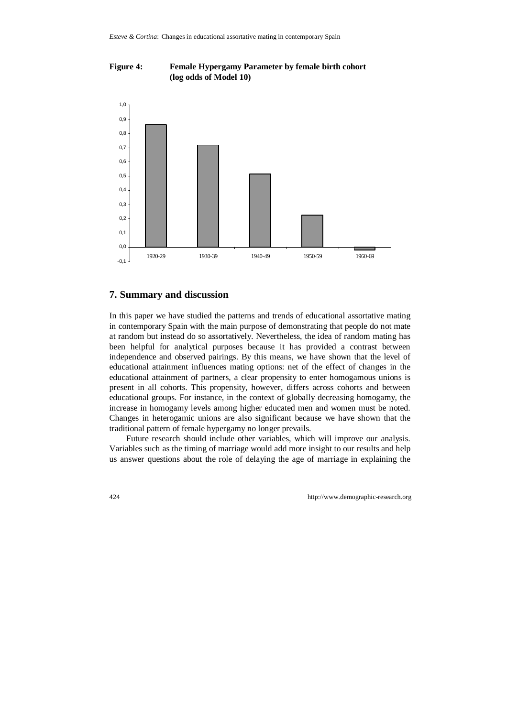



### **7. Summary and discussion**

In this paper we have studied the patterns and trends of educational assortative mating in contemporary Spain with the main purpose of demonstrating that people do not mate at random but instead do so assortatively. Nevertheless, the idea of random mating has been helpful for analytical purposes because it has provided a contrast between independence and observed pairings. By this means, we have shown that the level of educational attainment influences mating options: net of the effect of changes in the educational attainment of partners, a clear propensity to enter homogamous unions is present in all cohorts. This propensity, however, differs across cohorts and between educational groups. For instance, in the context of globally decreasing homogamy, the increase in homogamy levels among higher educated men and women must be noted. Changes in heterogamic unions are also significant because we have shown that the traditional pattern of female hypergamy no longer prevails.

Future research should include other variables, which will improve our analysis. Variables such as the timing of marriage would add more insight to our results and help us answer questions about the role of delaying the age of marriage in explaining the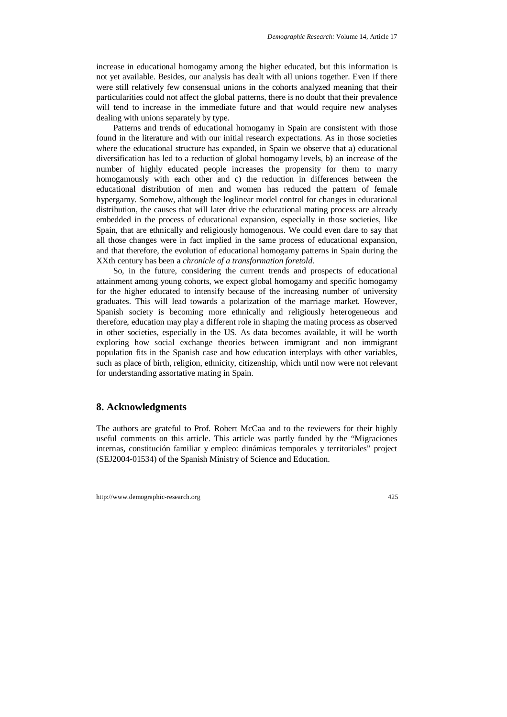increase in educational homogamy among the higher educated, but this information is not yet available. Besides, our analysis has dealt with all unions together. Even if there were still relatively few consensual unions in the cohorts analyzed meaning that their particularities could not affect the global patterns, there is no doubt that their prevalence will tend to increase in the immediate future and that would require new analyses dealing with unions separately by type.

Patterns and trends of educational homogamy in Spain are consistent with those found in the literature and with our initial research expectations. As in those societies where the educational structure has expanded, in Spain we observe that a) educational diversification has led to a reduction of global homogamy levels, b) an increase of the number of highly educated people increases the propensity for them to marry homogamously with each other and c) the reduction in differences between the educational distribution of men and women has reduced the pattern of female hypergamy. Somehow, although the loglinear model control for changes in educational distribution, the causes that will later drive the educational mating process are already embedded in the process of educational expansion, especially in those societies, like Spain, that are ethnically and religiously homogenous. We could even dare to say that all those changes were in fact implied in the same process of educational expansion, and that therefore, the evolution of educational homogamy patterns in Spain during the XXth century has been a *chronicle of a transformation foretold.*

So, in the future, considering the current trends and prospects of educational attainment among young cohorts, we expect global homogamy and specific homogamy for the higher educated to intensify because of the increasing number of university graduates. This will lead towards a polarization of the marriage market. However, Spanish society is becoming more ethnically and religiously heterogeneous and therefore, education may play a different role in shaping the mating process as observed in other societies, especially in the US. As data becomes available, it will be worth exploring how social exchange theories between immigrant and non immigrant population fits in the Spanish case and how education interplays with other variables, such as place of birth, religion, ethnicity, citizenship, which until now were not relevant for understanding assortative mating in Spain.

# **8. Acknowledgments**

The authors are grateful to Prof. Robert McCaa and to the reviewers for their highly useful comments on this article. This article was partly funded by the "Migraciones internas, constitución familiar y empleo: dinámicas temporales y territoriales" project (SEJ2004-01534) of the Spanish Ministry of Science and Education.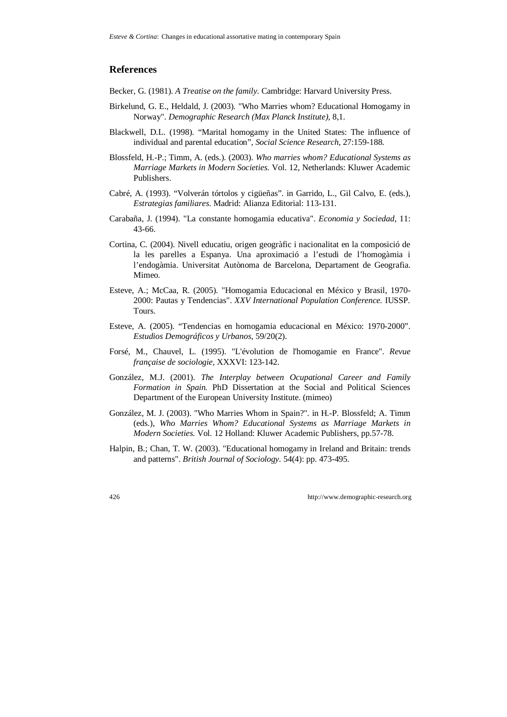## **References**

Becker, G. (1981). *A Treatise on the family*. Cambridge: Harvard University Press.

- Birkelund, G. E., Heldald, J. (2003). "Who Marries whom? Educational Homogamy in Norway". *Demographic Research (Max Planck Institute),* 8,1.
- Blackwell, D.L. (1998). "Marital homogamy in the United States: The influence of individual and parental education", *Social Science Research*, 27:159-188.
- Blossfeld, H.-P.; Timm, A. (eds.). (2003). *Who marries whom? Educational Systems as Marriage Markets in Modern Societies.* Vol. 12, Netherlands: Kluwer Academic Publishers.
- Cabré, A. (1993). "Volverán tórtolos y cigüeñas". in Garrido, L., Gil Calvo, E. (eds.), *Estrategias familiares*. Madrid: Alianza Editorial: 113-131.
- Carabaña, J. (1994). "La constante homogamia educativa". *Economia y Sociedad*, 11: 43-66.
- Cortina, C. (2004). Nivell educatiu, origen geogràfic i nacionalitat en la composició de la les parelles a Espanya. Una aproximació a l'estudi de l'homogàmia i l'endogàmia. Universitat Autònoma de Barcelona, Departament de Geografia. Mimeo.
- Esteve, A.; McCaa, R. (2005). "Homogamia Educacional en México y Brasil, 1970- 2000: Pautas y Tendencias". *XXV International Population Conference.* IUSSP. Tours.
- Esteve, A. (2005). "Tendencias en homogamia educacional en México: 1970-2000". *Estudios Demográficos y Urbanos*, 59/20(2).
- Forsé, M., Chauvel, L. (1995). "L'évolution de l'homogamie en France". *Revue française de sociologie,* XXXVI: 123-142.
- González, M.J. (2001). *The Interplay between Ocupational Career and Family Formation in Spain.* PhD Dissertation at the Social and Political Sciences Department of the European University Institute. (mimeo)
- González, M. J. (2003). "Who Marries Whom in Spain?". in H.-P. Blossfeld; A. Timm (eds.), *Who Marries Whom? Educational Systems as Marriage Markets in Modern Societies.* Vol*.* 12 Holland: Kluwer Academic Publishers, pp.57-78.
- Halpin, B.; Chan, T. W. (2003). "Educational homogamy in Ireland and Britain: trends and patterns". *British Journal of Sociology.* 54(4): pp. 473-495.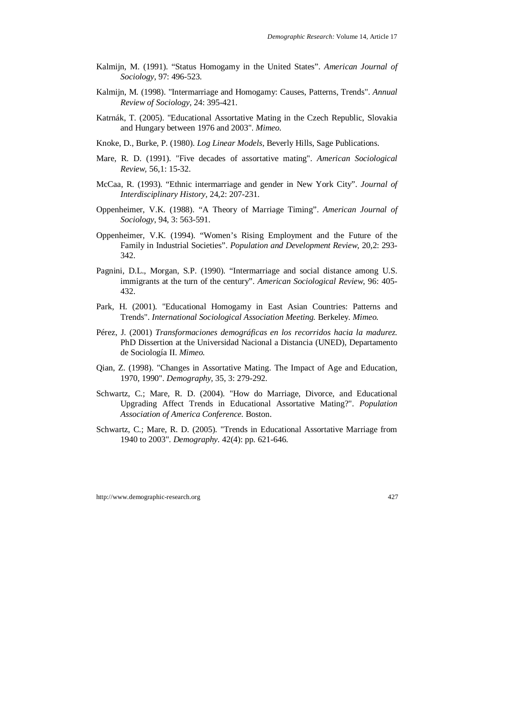- Kalmijn, M. (1991). "Status Homogamy in the United States". *American Journal of Sociology*, 97: 496-523.
- Kalmijn, M. (1998). "Intermarriage and Homogamy: Causes, Patterns, Trends". *Annual Review of Sociology,* 24: 395-421.
- Katrnák, T. (2005). "Educational Assortative Mating in the Czech Republic, Slovakia and Hungary between 1976 and 2003". *Mimeo.*
- Knoke, D., Burke, P. (1980). *Log Linear Models*, Beverly Hills, Sage Publications.
- Mare, R. D. (1991). "Five decades of assortative mating". *American Sociological Review,* 56,1: 15-32.
- McCaa, R. (1993). "Ethnic intermarriage and gender in New York City". *Journal of Interdisciplinary History,* 24,2: 207-231.
- Oppenheimer, V.K. (1988). "A Theory of Marriage Timing". *American Journal of Sociology*, 94, 3: 563-591.
- Oppenheimer, V.K. (1994). "Women's Rising Employment and the Future of the Family in Industrial Societies". *Population and Development Review*, 20,2: 293- 342.
- Pagnini, D.L., Morgan, S.P. (1990). "Intermarriage and social distance among U.S. immigrants at the turn of the century". *American Sociological Review*, 96: 405- 432.
- Park, H. (2001). "Educational Homogamy in East Asian Countries: Patterns and Trends". *International Sociological Association Meeting.* Berkeley. *Mimeo.*
- Pérez, J. (2001) *Transformaciones demográficas en los recorridos hacia la madurez.*  PhD Dissertion at the Universidad Nacional a Distancia (UNED), Departamento de Sociología II. *Mimeo.*
- Qian, Z. (1998). "Changes in Assortative Mating. The Impact of Age and Education, 1970, 1990". *Demography,* 35, 3: 279-292.
- Schwartz, C.; Mare, R. D. (2004). "How do Marriage, Divorce, and Educational Upgrading Affect Trends in Educational Assortative Mating?". *Population Association of America Conference.* Boston.
- Schwartz, C.; Mare, R. D. (2005). "Trends in Educational Assortative Marriage from 1940 to 2003". *Demography.* 42(4): pp. 621-646.